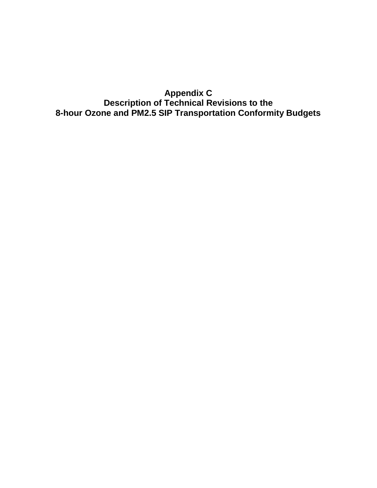**Appendix C Description of Technical Revisions to the 8-hour Ozone and PM2.5 SIP Transportation Conformity Budgets**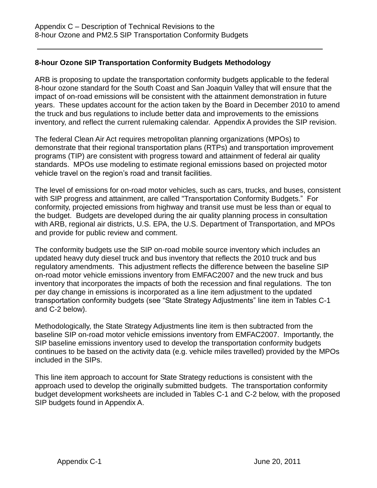# **8-hour Ozone SIP Transportation Conformity Budgets Methodology**

ARB is proposing to update the transportation conformity budgets applicable to the federal 8-hour ozone standard for the South Coast and San Joaquin Valley that will ensure that the impact of on-road emissions will be consistent with the attainment demonstration in future years. These updates account for the action taken by the Board in December 2010 to amend the truck and bus regulations to include better data and improvements to the emissions inventory, and reflect the current rulemaking calendar. Appendix A provides the SIP revision.

The federal Clean Air Act requires metropolitan planning organizations (MPOs) to demonstrate that their regional transportation plans (RTPs) and transportation improvement programs (TIP) are consistent with progress toward and attainment of federal air quality standards. MPOs use modeling to estimate regional emissions based on projected motor vehicle travel on the region's road and transit facilities.

The level of emissions for on-road motor vehicles, such as cars, trucks, and buses, consistent with SIP progress and attainment, are called "Transportation Conformity Budgets." For conformity, projected emissions from highway and transit use must be less than or equal to the budget. Budgets are developed during the air quality planning process in consultation with ARB, regional air districts, U.S. EPA, the U.S. Department of Transportation, and MPOs and provide for public review and comment.

The conformity budgets use the SIP on-road mobile source inventory which includes an updated heavy duty diesel truck and bus inventory that reflects the 2010 truck and bus regulatory amendments. This adjustment reflects the difference between the baseline SIP on-road motor vehicle emissions inventory from EMFAC2007 and the new truck and bus inventory that incorporates the impacts of both the recession and final regulations. The ton per day change in emissions is incorporated as a line item adjustment to the updated transportation conformity budgets (see "State Strategy Adjustments" line item in Tables C-1 and C-2 below).

Methodologically, the State Strategy Adjustments line item is then subtracted from the baseline SIP on-road motor vehicle emissions inventory from EMFAC2007. Importantly, the SIP baseline emissions inventory used to develop the transportation conformity budgets continues to be based on the activity data (e.g. vehicle miles travelled) provided by the MPOs included in the SIPs.

This line item approach to account for State Strategy reductions is consistent with the approach used to develop the originally submitted budgets. The transportation conformity budget development worksheets are included in Tables C-1 and C-2 below, with the proposed SIP budgets found in Appendix A.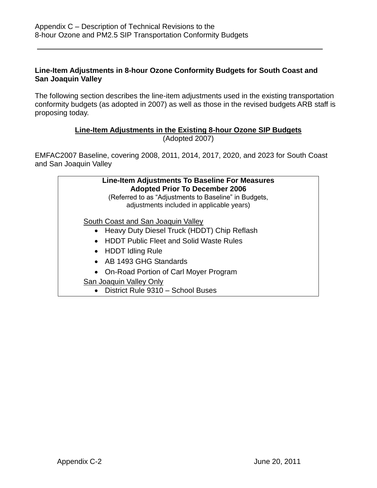### **Line-Item Adjustments in 8-hour Ozone Conformity Budgets for South Coast and San Joaquin Valley**

The following section describes the line-item adjustments used in the existing transportation conformity budgets (as adopted in 2007) as well as those in the revised budgets ARB staff is proposing today.

# **Line-Item Adjustments in the Existing 8-hour Ozone SIP Budgets**

(Adopted 2007)

EMFAC2007 Baseline, covering 2008, 2011, 2014, 2017, 2020, and 2023 for South Coast and San Joaquin Valley

| Line-Item Adjustments To Baseline For Measures<br><b>Adopted Prior To December 2006</b><br>(Referred to as "Adjustments to Baseline" in Budgets,<br>adjustments included in applicable years) |  |
|-----------------------------------------------------------------------------------------------------------------------------------------------------------------------------------------------|--|
| South Coast and San Joaquin Valley                                                                                                                                                            |  |
| Heavy Duty Diesel Truck (HDDT) Chip Reflash                                                                                                                                                   |  |
| • HDDT Public Fleet and Solid Waste Rules                                                                                                                                                     |  |
| • HDDT Idling Rule                                                                                                                                                                            |  |
| • AB 1493 GHG Standards                                                                                                                                                                       |  |
| • On-Road Portion of Carl Moyer Program                                                                                                                                                       |  |
| <b>San Joaquin Valley Only</b>                                                                                                                                                                |  |
| • District Rule 9310 – School Buses                                                                                                                                                           |  |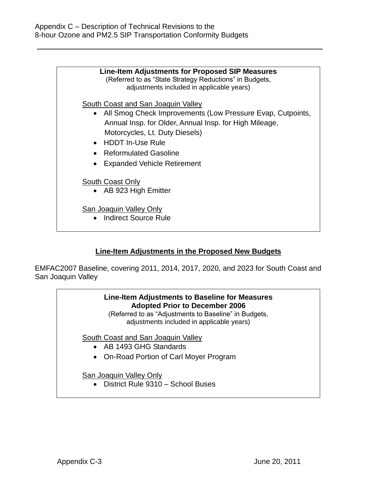| Line-Item Adjustments for Proposed SIP Measures<br>(Referred to as "State Strategy Reductions" in Budgets,<br>adjustments included in applicable years)  |
|----------------------------------------------------------------------------------------------------------------------------------------------------------|
| South Coast and San Joaquin Valley                                                                                                                       |
| • All Smog Check Improvements (Low Pressure Evap, Cutpoints,<br>Annual Insp. for Older, Annual Insp. for High Mileage,<br>Motorcycles, Lt. Duty Diesels) |
| • HDDT In-Use Rule                                                                                                                                       |
| • Reformulated Gasoline                                                                                                                                  |
| <b>Expanded Vehicle Retirement</b>                                                                                                                       |
| South Coast Only<br>• AB 923 High Emitter                                                                                                                |
| San Joaquin Valley Only<br>• Indirect Source Rule                                                                                                        |

## **Line-Item Adjustments in the Proposed New Budgets**

EMFAC2007 Baseline, covering 2011, 2014, 2017, 2020, and 2023 for South Coast and San Joaquin Valley

# **Line-Item Adjustments to Baseline for Measures Adopted Prior to December 2006**

(Referred to as "Adjustments to Baseline" in Budgets, adjustments included in applicable years)

South Coast and San Joaquin Valley

- AB 1493 GHG Standards
- On-Road Portion of Carl Moyer Program

## San Joaquin Valley Only

District Rule 9310 – School Buses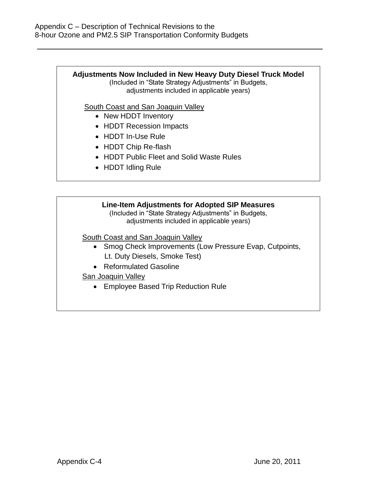### **Adjustments Now Included in New Heavy Duty Diesel Truck Model**

(Included in "State Strategy Adjustments" in Budgets, adjustments included in applicable years)

South Coast and San Joaquin Valley

- New HDDT Inventory
- HDDT Recession Impacts
- HDDT In-Use Rule
- HDDT Chip Re-flash
- HDDT Public Fleet and Solid Waste Rules
- HDDT Idling Rule

### **Line-Item Adjustments for Adopted SIP Measures**

(Included in "State Strategy Adjustments" in Budgets, adjustments included in applicable years)

South Coast and San Joaquin Valley

- Smog Check Improvements (Low Pressure Evap, Cutpoints, Lt. Duty Diesels, Smoke Test)
- Reformulated Gasoline
- San Joaquin Valley
	- Employee Based Trip Reduction Rule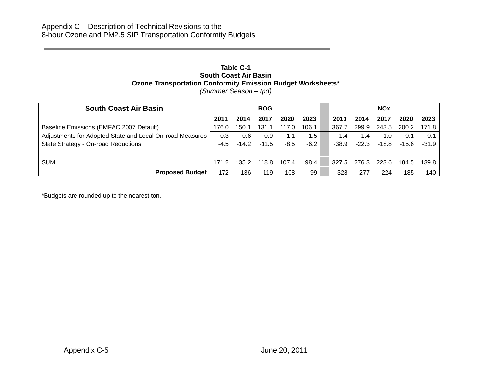#### **Table C-1 South Coast Air Basin Ozone Transportation Conformity Emission Budget Worksheets\*** *(Summer Season – tpd)*

| <b>South Coast Air Basin</b>                             |        |         | <b>ROG</b> |       |        |         |         | <b>NOx</b> |         |         |
|----------------------------------------------------------|--------|---------|------------|-------|--------|---------|---------|------------|---------|---------|
|                                                          | 2011   | 2014    | 2017       | 2020  | 2023   | 2011    | 2014    | 2017       | 2020    | 2023    |
| Baseline Emissions (EMFAC 2007 Default)                  | 176.0  | 150.1   | 131        | 117.0 | 106.1  | 367.7   | 299.9   | 243.5      | 200.2   | 171.8   |
| Adjustments for Adopted State and Local On-road Measures | $-0.3$ | $-0.6$  | $-0.9$     | -1.1  | -1.5   | $-1.4$  | $-1.4$  | $-1.0$     | -0.1    | $-0.1$  |
| State Strategy - On-road Reductions                      | -4.5   | $-14.2$ | $-11.5$    | -8.5  | $-6.2$ | $-38.9$ | $-22.3$ | $-18.8$    | $-15.6$ | $-31.9$ |
|                                                          |        |         |            |       |        |         |         |            |         |         |
| <b>SUM</b>                                               | 171.2  | 135.2   | 118.8      | 107.4 | 98.4   | 327.5   | 276.3   | 223.6      | 184.5   | 139.8   |
| <b>Proposed Budget</b>                                   | 172    | 136     | 119        | 108   | 99     | 328     | 277     | 224        | 185     | 140     |

\*Budgets are rounded up to the nearest ton.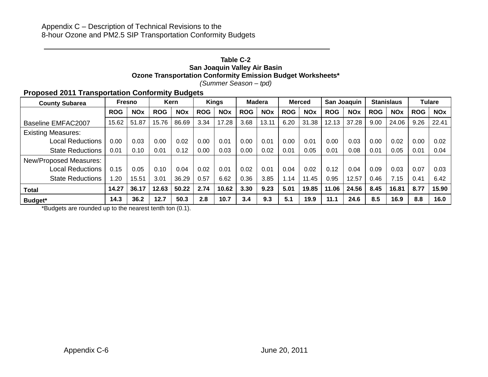#### **Table C-2 San Joaquin Valley Air Basin Ozone Transportation Conformity Emission Budget Worksheets\*** *(Summer Season – tpd)*

### **Proposed 2011 Transportation Conformity Budgets**

| <b>County Subarea</b>     |            | <b>Fresno</b> |            | Kern       |            | <b>Kings</b> |            | <b>Madera</b> |            | <b>Merced</b> | San Joaquin |            |            | <b>Stanislaus</b> |            | <b>Tulare</b> |
|---------------------------|------------|---------------|------------|------------|------------|--------------|------------|---------------|------------|---------------|-------------|------------|------------|-------------------|------------|---------------|
|                           | <b>ROG</b> | <b>NOx</b>    | <b>ROG</b> | <b>NOx</b> | <b>ROG</b> | <b>NOx</b>   | <b>ROG</b> | <b>NOx</b>    | <b>ROG</b> | <b>NOx</b>    | <b>ROG</b>  | <b>NOx</b> | <b>ROG</b> | <b>NOx</b>        | <b>ROG</b> | <b>NOx</b>    |
| Baseline EMFAC2007        | 15.62      | 51.87         | 15.76      | 86.69      | 3.34       | 17.28        | 3.68       | 13.11         | 6.20       | 31.38         | 12.13       | 37.28      | 9.00       | 24.06             | 9.26       | 22.41         |
| <b>Existing Measures:</b> |            |               |            |            |            |              |            |               |            |               |             |            |            |                   |            |               |
| <b>Local Reductions</b>   | 0.00       | 0.03          | 0.00       | 0.02       | 0.00       | 0.01         | 0.00       | 0.01          | 0.00       | 0.01          | 0.00        | 0.03       | 0.00       | 0.02              | 0.00       | 0.02          |
| <b>State Reductions</b>   | 0.01       | 0.10          | 0.01       | 0.12       | 0.00       | 0.03         | 0.00       | 0.02          | 0.01       | 0.05          | 0.01        | 0.08       | 0.01       | 0.05              | 0.01       | 0.04          |
| New/Proposed Measures:    |            |               |            |            |            |              |            |               |            |               |             |            |            |                   |            |               |
| <b>Local Reductions</b>   | 0.15       | 0.05          | 0.10       | 0.04       | 0.02       | 0.01         | 0.02       | 0.01          | 0.04       | 0.02          | 0.12        | 0.04       | 0.09       | 0.03              | 0.07       | 0.03          |
| <b>State Reductions</b>   | .20        | 15.51         | 3.01       | 36.29      | 0.57       | 6.62         | 0.36       | 3.85          | 1.14       | 11.45         | 0.95        | 12.57      | 0.46       | 7.15              | 0.41       | 6.42          |
| <b>Total</b>              | 14.27      | 36.17         | 12.63      | 50.22      | 2.74       | 10.62        | 3.30       | 9.23          | 5.01       | 19.85         | 11.06       | 24.56      | 8.45       | 16.81             | 8.77       | 15.90         |
| Budget*                   | 14.3       | 36.2          | 12.7       | 50.3       | 2.8        | 10.7         | 3.4        | 9.3           | 5.1        | 19.9          | 11.1        | 24.6       | 8.5        | 16.9              | 8.8        | 16.0          |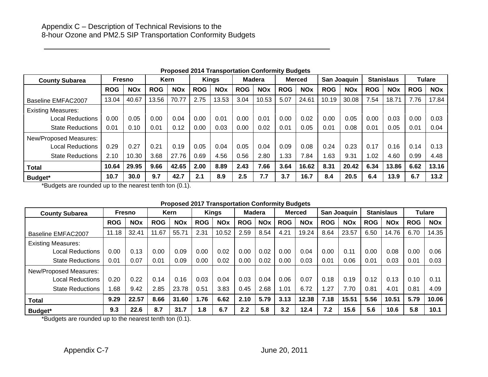| <b>County Subarea</b>     |            | Fresno     |            | Kern       |            | <b>Kings</b> |            | <b>Madera</b> |            | <b>Merced</b> |            | San Joaquin |            | <b>Stanislaus</b> |            | <b>Tulare</b> |
|---------------------------|------------|------------|------------|------------|------------|--------------|------------|---------------|------------|---------------|------------|-------------|------------|-------------------|------------|---------------|
|                           | <b>ROG</b> | <b>NOx</b> | <b>ROG</b> | <b>NOx</b> | <b>ROG</b> | <b>NOx</b>   | <b>ROG</b> | <b>NOx</b>    | <b>ROG</b> | <b>NOx</b>    | <b>ROG</b> | <b>NOx</b>  | <b>ROG</b> | <b>NOx</b>        | <b>ROG</b> | <b>NOx</b>    |
| Baseline EMFAC2007        | 13.04      | 40.67      | 13.56      | 70.77      | 2.75       | 13.53        | 3.04       | 10.53         | 5.07       | 24.61         | 10.19      | 30.08       | 7.54       | 18.71             | 7.76       | 17.84         |
| <b>Existing Measures:</b> |            |            |            |            |            |              |            |               |            |               |            |             |            |                   |            |               |
| Local Reductions          | 0.00       | 0.05       | 0.00       | 0.04       | 0.00       | 0.01         | 0.00       | 0.01          | 0.00       | 0.02          | 0.00       | 0.05        | 0.00       | 0.03              | 0.00       | 0.03          |
| <b>State Reductions</b>   | 0.01       | 0.10       | 0.01       | 0.12       | 0.00       | 0.03         | 0.00       | 0.02          | 0.01       | 0.05          | 0.01       | 0.08        | 0.01       | 0.05              | 0.01       | 0.04          |
| New/Proposed Measures:    |            |            |            |            |            |              |            |               |            |               |            |             |            |                   |            |               |
| Local Reductions          | 0.29       | 0.27       | 0.21       | 0.19       | 0.05       | 0.04         | 0.05       | 0.04          | 0.09       | 0.08          | 0.24       | 0.23        | 0.17       | 0.16              | 0.14       | 0.13          |
| <b>State Reductions</b>   | 2.10       | 10.30      | 3.68       | 27.76      | 0.69       | 4.56         | 0.56       | 2.80          | .33        | 7.84          | .63        | 9.31        | 1.02       | 4.60              | 0.99       | 4.48          |
| <b>Total</b>              | 10.64      | 29.95      | 9.66       | 42.65      | 2.00       | 8.89         | 2.43       | 7.66          | 3.64       | 16.62         | 8.31       | 20.42       | 6.34       | 13.86             | 6.62       | 13.16         |
| Budget*                   | 10.7       | 30.0       | 9.7        | 42.7       | 2.1        | 8.9          | 2.5        | 7.7           | 3.7        | 16.7          | 8.4        | 20.5        | 6.4        | 13.9              | 6.7        | 13.2          |

**Proposed 2014 Transportation Conformity Budgets**

\*Budgets are rounded up to the nearest tenth ton (0.1).

#### **Proposed 2017 Transportation Conformity Budgets**

| <b>County Subarea</b>     |            | Fresno     |            | <b>Kern</b> |            | <b>Kings</b> | <b>Madera</b> |            |            | <b>Merced</b> |            | San Joaquin |            | <b>Stanislaus</b> |            | Tulare     |
|---------------------------|------------|------------|------------|-------------|------------|--------------|---------------|------------|------------|---------------|------------|-------------|------------|-------------------|------------|------------|
|                           | <b>ROG</b> | <b>NOx</b> | <b>ROG</b> | <b>NOx</b>  | <b>ROG</b> | <b>NOx</b>   | <b>ROG</b>    | <b>NOx</b> | <b>ROG</b> | <b>NOx</b>    | <b>ROG</b> | <b>NOx</b>  | <b>ROG</b> | <b>NOx</b>        | <b>ROG</b> | <b>NOx</b> |
| Baseline EMFAC2007        | 11.18      | 32.41      | 11.67      | 55.71       | 2.31       | 10.52        | 2.59          | 8.54       | 4.21       | 19.24         | 8.64       | 23.57       | 6.50       | 14.76             | 6.70       | 14.35      |
| <b>Existing Measures:</b> |            |            |            |             |            |              |               |            |            |               |            |             |            |                   |            |            |
| <b>Local Reductions</b>   | 0.00       | 0.13       | 0.00       | 0.09        | 0.00       | 0.02         | 0.00          | 0.02       | 0.00       | 0.04          | 0.00       | 0.11        | 0.00       | 0.08              | 0.00       | 0.06       |
| <b>State Reductions</b>   | 0.01       | 0.07       | 0.01       | 0.09        | 0.00       | 0.02         | 0.00          | 0.02       | 0.00       | 0.03          | 0.01       | 0.06        | 0.01       | 0.03              | 0.01       | 0.03       |
| New/Proposed Measures:    |            |            |            |             |            |              |               |            |            |               |            |             |            |                   |            |            |
| <b>Local Reductions</b>   | 0.20       | 0.22       | 0.14       | 0.16        | 0.03       | 0.04         | 0.03          | 0.04       | 0.06       | 0.07          | 0.18       | 0.19        | 0.12       | 0.13              | 0.10       | 0.11       |
| <b>State Reductions</b>   | .68        | 9.42       | 2.85       | 23.78       | 0.51       | 3.83         | 0.45          | 2.68       | 1.01       | 6.72          | . 27       | 7.70        | 0.81       | 4.01              | 0.81       | 4.09       |
| <b>Total</b>              | 9.29       | 22.57      | 8.66       | 31.60       | 1.76       | 6.62         | 2.10          | 5.79       | 3.13       | 12.38         | 7.18       | 15.51       | 5.56       | 10.51             | 5.79       | 10.06      |
| Budget*                   | 9.3        | 22.6       | 8.7        | 31.7        | 1.8        | 6.7          | 2.2           | 5.8        | 3.2        | 12.4          | 7.2        | 15.6        | 5.6        | 10.6              | 5.8        | 10.1       |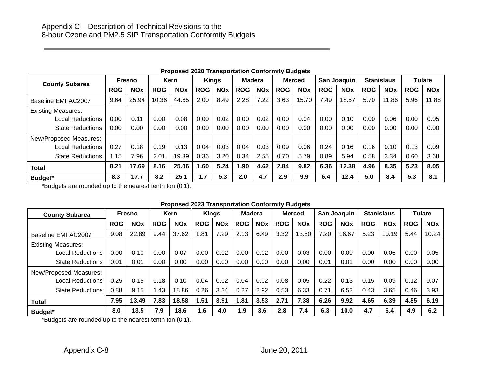| <b>County Subarea</b>     |            | <b>Fresno</b> |            | Kern       |            | <b>Kings</b> | <b>Madera</b> |            |            | <b>Merced</b> |            | <b>San Joaquin</b> |            | <b>Stanislaus</b>     |            | <b>Tulare</b> |
|---------------------------|------------|---------------|------------|------------|------------|--------------|---------------|------------|------------|---------------|------------|--------------------|------------|-----------------------|------------|---------------|
|                           | <b>ROG</b> | <b>NOx</b>    | <b>ROG</b> | <b>NOx</b> | <b>ROG</b> | <b>NOx</b>   | <b>ROG</b>    | <b>NOx</b> | <b>ROG</b> | <b>NOx</b>    | <b>ROG</b> | <b>NOx</b>         | <b>ROG</b> | <b>NO<sub>x</sub></b> | <b>ROG</b> | <b>NOx</b>    |
| Baseline EMFAC2007        | 9.64       | 25.94         | 10.36      | 44.65      | 2.00       | 8.49         | 2.28          | 7.22       | 3.63       | 15.70         | 7.49       | 18.57              | 5.70       | 11.86                 | 5.96       | 11.88         |
| <b>Existing Measures:</b> |            |               |            |            |            |              |               |            |            |               |            |                    |            |                       |            |               |
| <b>Local Reductions</b>   | 0.00       | 0.11          | 0.00       | 0.08       | 0.00       | 0.02         | 0.00          | 0.02       | 0.00       | 0.04          | 0.00       | 0.10               | 0.00       | 0.06                  | 0.00       | 0.05          |
| <b>State Reductions</b>   | 0.00       | 0.00          | 0.00       | 0.00       | 0.00       | 0.00         | 0.00          | 0.00       | 0.00       | 0.00          | 0.00       | 0.00               | 0.00       | 0.00                  | 0.00       | 0.00          |
| New/Proposed Measures:    |            |               |            |            |            |              |               |            |            |               |            |                    |            |                       |            |               |
| <b>Local Reductions</b>   | 0.27       | 0.18          | 0.19       | 0.13       | 0.04       | 0.03         | 0.04          | 0.03       | 0.09       | 0.06          | 0.24       | 0.16               | 0.16       | 0.10                  | 0.13       | 0.09          |
| <b>State Reductions</b>   | 1.15       | 7.96          | 2.01       | 19.39      | 0.36       | 3.20         | 0.34          | 2.55       | 0.70       | 5.79          | 0.89       | 5.94               | 0.58       | 3.34                  | 0.60       | 3.68          |
| <b>Total</b>              | 8.21       | 17.69         | 8.16       | 25.06      | 1.60       | 5.24         | 1.90          | 4.62       | 2.84       | 9.82          | 6.36       | 12.38              | 4.96       | 8.35                  | 5.23       | 8.05          |
| Budget*                   | 8.3        | 17.7          | 8.2        | 25.1       | 1.7        | 5.3          | 2.0           | 4.7        | 2.9        | 9.9           | 6.4        | 12.4               | 5.0        | 8.4                   | 5.3        | 8.1           |

#### **Proposed 2020 Transportation Conformity Budgets**

\*Budgets are rounded up to the nearest tenth ton (0.1).

#### **Proposed 2023 Transportation Conformity Budgets**

| <b>County Subarea</b>     |            | Fresno     |            | <b>Kern</b> |            | <b>Kings</b> | <b>Madera</b> |            |            | <b>Merced</b> |            | San Joaquin |            | <b>Stanislaus</b> |            | <b>Tulare</b> |
|---------------------------|------------|------------|------------|-------------|------------|--------------|---------------|------------|------------|---------------|------------|-------------|------------|-------------------|------------|---------------|
|                           | <b>ROG</b> | <b>NOx</b> | <b>ROG</b> | <b>NOx</b>  | <b>ROG</b> | <b>NOx</b>   | <b>ROG</b>    | <b>NOx</b> | <b>ROG</b> | <b>NOx</b>    | <b>ROG</b> | <b>NOx</b>  | <b>ROG</b> | <b>NOx</b>        | <b>ROG</b> | <b>NOx</b>    |
| Baseline EMFAC2007        | 9.08       | 22.89      | 9.44       | 37.62       | 1.81       | 7.29         | 2.13          | 6.49       | 3.32       | 13.80         | 7.20       | 16.67       | 5.23       | 10.19             | 5.44       | 10.24         |
| <b>Existing Measures:</b> |            |            |            |             |            |              |               |            |            |               |            |             |            |                   |            |               |
| Local Reductions          | 0.00       | 0.10       | 0.00       | 0.07        | 0.00       | 0.02         | 0.00          | 0.02       | 0.00       | 0.03          | 0.00       | 0.09        | 0.00       | 0.06              | 0.00       | 0.05          |
| <b>State Reductions</b>   | 0.01       | 0.01       | 0.00       | 0.00        | 0.00       | 0.00         | 0.00          | 0.00       | 0.00       | 0.00          | 0.01       | 0.01        | 0.00       | 0.00              | 0.00       | 0.00          |
| New/Proposed Measures:    |            |            |            |             |            |              |               |            |            |               |            |             |            |                   |            |               |
| Local Reductions          | 0.25       | 0.15       | 0.18       | 0.10        | 0.04       | 0.02         | 0.04          | 0.02       | 0.08       | 0.05          | 0.22       | 0.13        | 0.15       | 0.09              | 0.12       | 0.07          |
| <b>State Reductions</b>   | 0.88       | 9.15       | 1.43       | 18.86       | 0.26       | 3.34         | 0.27          | 2.92       | 0.53       | 6.33          | 0.71       | 6.52        | 0.43       | 3.65              | 0.46       | 3.93          |
| Total                     | 7.95       | 13.49      | 7.83       | 18.58       | 1.51       | 3.91         | 1.81          | 3.53       | 2.71       | 7.38          | 6.26       | 9.92        | 4.65       | 6.39              | 4.85       | 6.19          |
| Budget*                   | 8.0        | 13.5       | 7.9        | 18.6        | 1.6        | 4.0          | 1.9           | 3.6        | 2.8        | 7.4           | 6.3        | 10.0        | 4.7        | 6.4               | 4.9        | 6.2           |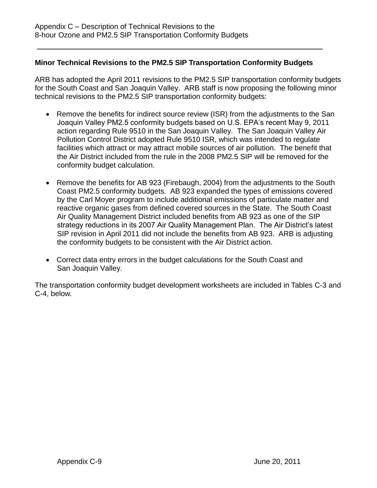### **Minor Technical Revisions to the PM2.5 SIP Transportation Conformity Budgets**

ARB has adopted the April 2011 revisions to the PM2.5 SIP transportation conformity budgets for the South Coast and San Joaquin Valley. ARB staff is now proposing the following minor technical revisions to the PM2.5 SIP transportation conformity budgets:

- Remove the benefits for indirect source review (ISR) from the adjustments to the San Joaquin Valley PM2.5 conformity budgets based on U.S. EPA's recent May 9, 2011 action regarding Rule 9510 in the San Joaquin Valley. The San Joaquin Valley Air Pollution Control District adopted Rule 9510 ISR, which was intended to regulate facilities which attract or may attract mobile sources of air pollution. The benefit that the Air District included from the rule in the 2008 PM2.5 SIP will be removed for the conformity budget calculation.
- Remove the benefits for AB 923 (Firebaugh, 2004) from the adjustments to the South Coast PM2.5 conformity budgets. AB 923 expanded the types of emissions covered by the Carl Moyer program to include additional emissions of particulate matter and reactive organic gases from defined covered sources in the State. The South Coast Air Quality Management District included benefits from AB 923 as one of the SIP strategy reductions in its 2007 Air Quality Management Plan. The Air District's latest SIP revision in April 2011 did not include the benefits from AB 923. ARB is adjusting the conformity budgets to be consistent with the Air District action.
- Correct data entry errors in the budget calculations for the South Coast and San Joaquin Valley.

The transportation conformity budget development worksheets are included in Tables C-3 and C-4, below.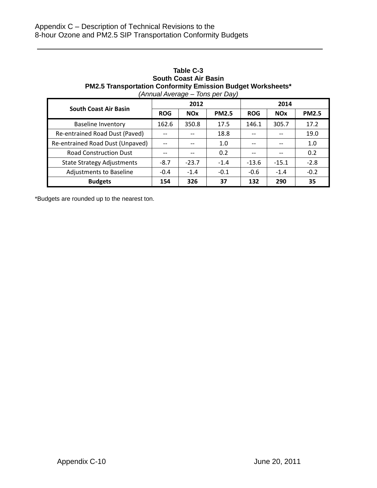#### **Table C-3 South Coast Air Basin PM2.5 Transportation Conformity Emission Budget Worksheets\*** *(Annual Average – Tons per Day)*

|                                   |            |            | . .          |            |            |              |  |  |  |
|-----------------------------------|------------|------------|--------------|------------|------------|--------------|--|--|--|
| <b>South Coast Air Basin</b>      |            | 2012       |              | 2014       |            |              |  |  |  |
|                                   | <b>ROG</b> | <b>NOx</b> | <b>PM2.5</b> | <b>ROG</b> | <b>NOx</b> | <b>PM2.5</b> |  |  |  |
| <b>Baseline Inventory</b>         | 162.6      | 350.8      | 17.5         | 146.1      | 305.7      | 17.2         |  |  |  |
| Re-entrained Road Dust (Paved)    |            | $- -$      | 18.8         | $- -$      |            | 19.0         |  |  |  |
| Re-entrained Road Dust (Unpaved)  | --         |            | 1.0          |            |            | 1.0          |  |  |  |
| <b>Road Construction Dust</b>     | --         | $-$        | 0.2          | --         |            | 0.2          |  |  |  |
| <b>State Strategy Adjustments</b> | $-8.7$     | $-23.7$    | $-1.4$       | $-13.6$    | $-15.1$    | $-2.8$       |  |  |  |
| <b>Adjustments to Baseline</b>    | $-0.4$     | $-1.4$     | $-0.1$       | $-0.6$     | $-1.4$     | $-0.2$       |  |  |  |
| <b>Budgets</b>                    | 154        | 326        | 37           | 132        | 290        | 35           |  |  |  |

\*Budgets are rounded up to the nearest ton.